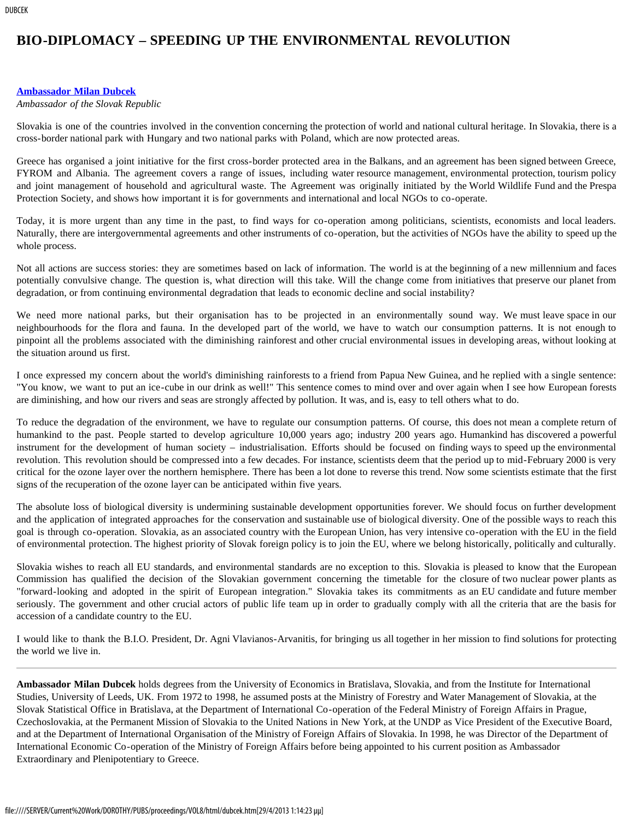## **BIO-DIPLOMACY – SPEEDING UP THE ENVIRONMENTAL REVOLUTION**

## **[Ambassador Milan Dubcek](#page-0-0)**

## *Ambassador of the Slovak Republic*

Slovakia is one of the countries involved in the convention concerning the protection of world and national cultural heritage. In Slovakia, there is a cross-border national park with Hungary and two national parks with Poland, which are now protected areas.

Greece has organised a joint initiative for the first cross-border protected area in the Balkans, and an agreement has been signed between Greece, FYROM and Albania. The agreement covers a range of issues, including water resource management, environmental protection, tourism policy and joint management of household and agricultural waste. The Agreement was originally initiated by the World Wildlife Fund and the Prespa Protection Society, and shows how important it is for governments and international and local NGOs to co-operate.

Today, it is more urgent than any time in the past, to find ways for co-operation among politicians, scientists, economists and local leaders. Naturally, there are intergovernmental agreements and other instruments of co-operation, but the activities of NGOs have the ability to speed up the whole process.

Not all actions are success stories: they are sometimes based on lack of information. The world is at the beginning of a new millennium and faces potentially convulsive change. The question is, what direction will this take. Will the change come from initiatives that preserve our planet from degradation, or from continuing environmental degradation that leads to economic decline and social instability?

We need more national parks, but their organisation has to be projected in an environmentally sound way. We must leave space in our neighbourhoods for the flora and fauna. In the developed part of the world, we have to watch our consumption patterns. It is not enough to pinpoint all the problems associated with the diminishing rainforest and other crucial environmental issues in developing areas, without looking at the situation around us first.

I once expressed my concern about the world's diminishing rainforests to a friend from Papua New Guinea, and he replied with a single sentence: "You know, we want to put an ice-cube in our drink as well!" This sentence comes to mind over and over again when I see how European forests are diminishing, and how our rivers and seas are strongly affected by pollution. It was, and is, easy to tell others what to do.

To reduce the degradation of the environment, we have to regulate our consumption patterns. Of course, this does not mean a complete return of humankind to the past. People started to develop agriculture 10,000 years ago; industry 200 years ago. Humankind has discovered a powerful instrument for the development of human society – industrialisation. Efforts should be focused on finding ways to speed up the environmental revolution. This revolution should be compressed into a few decades. For instance, scientists deem that the period up to mid-February 2000 is very critical for the ozone layer over the northern hemisphere. There has been a lot done to reverse this trend. Now some scientists estimate that the first signs of the recuperation of the ozone layer can be anticipated within five years.

The absolute loss of biological diversity is undermining sustainable development opportunities forever. We should focus on further development and the application of integrated approaches for the conservation and sustainable use of biological diversity. One of the possible ways to reach this goal is through co-operation. Slovakia, as an associated country with the European Union, has very intensive co-operation with the EU in the field of environmental protection. The highest priority of Slovak foreign policy is to join the EU, where we belong historically, politically and culturally.

Slovakia wishes to reach all EU standards, and environmental standards are no exception to this. Slovakia is pleased to know that the European Commission has qualified the decision of the Slovakian government concerning the timetable for the closure of two nuclear power plants as "forward-looking and adopted in the spirit of European integration." Slovakia takes its commitments as an EU candidate and future member seriously. The government and other crucial actors of public life team up in order to gradually comply with all the criteria that are the basis for accession of a candidate country to the EU.

I would like to thank the B.I.O. President, Dr. Agni Vlavianos-Arvanitis, for bringing us all together in her mission to find solutions for protecting the world we live in.

<span id="page-0-0"></span>**Ambassador Milan Dubcek** holds degrees from the University of Economics in Bratislava, Slovakia, and from the Institute for International Studies, University of Leeds, UK. From 1972 to 1998, he assumed posts at the Ministry of Forestry and Water Management of Slovakia, at the Slovak Statistical Office in Bratislava, at the Department of International Co-operation of the Federal Ministry of Foreign Affairs in Prague, Czechoslovakia, at the Permanent Mission of Slovakia to the United Nations in New York, at the UNDP as Vice President of the Executive Board, and at the Department of International Organisation of the Ministry of Foreign Affairs of Slovakia. In 1998, he was Director of the Department of International Economic Co-operation of the Ministry of Foreign Affairs before being appointed to his current position as Ambassador Extraordinary and Plenipotentiary to Greece.